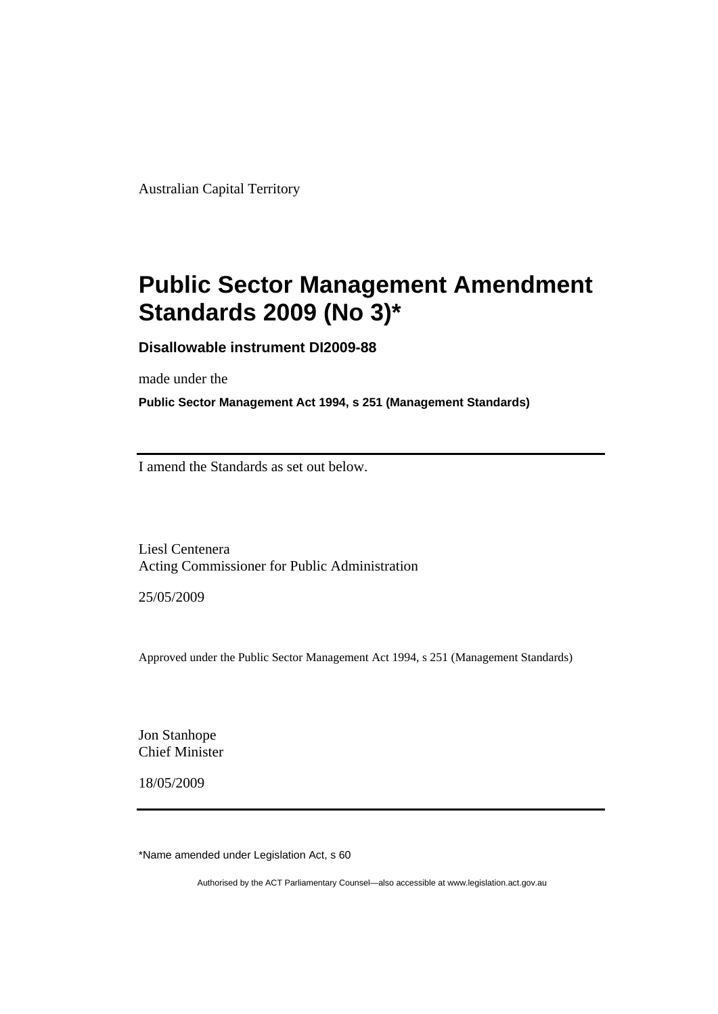Australian Capital Territory

# **[Public Sector Management Amendment](#page-2-0)  [Standards 2009 \(No 3\)\\*](#page-2-0)**

**Disallowable instrument DI2009-88** 

made under the

**Public Sector Management Act 1994, s 251 (Management Standards)** 

I amend the Standards as set out below.

Liesl Centenera Acting Commissioner for Public Administration

25/05/2009

Approved under the Public Sector Management Act 1994, s 251 (Management Standards)

Jon Stanhope Chief Minister

18/05/2009

\*Name amended under Legislation Act, s 60

Authorised by the ACT Parliamentary Counsel—also accessible at www.legislation.act.gov.au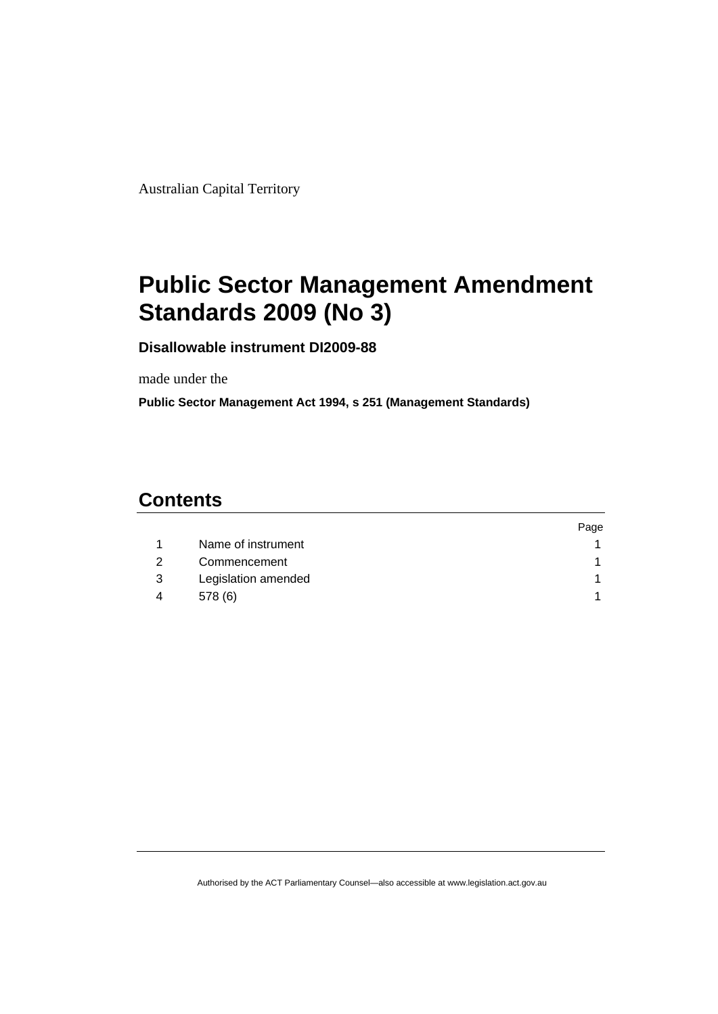<span id="page-2-0"></span>Australian Capital Territory

# **Public Sector Management Amendment Standards 2009 (No 3)**

**Disallowable instrument DI2009-88** 

made under the

**Public Sector Management Act 1994, s 251 (Management Standards)** 

# **Contents**

|   |                     | Page |
|---|---------------------|------|
|   | Name of instrument  |      |
|   | Commencement        |      |
| 3 | Legislation amended |      |
| 4 | 578 (6)             |      |

Authorised by the ACT Parliamentary Counsel—also accessible at www.legislation.act.gov.au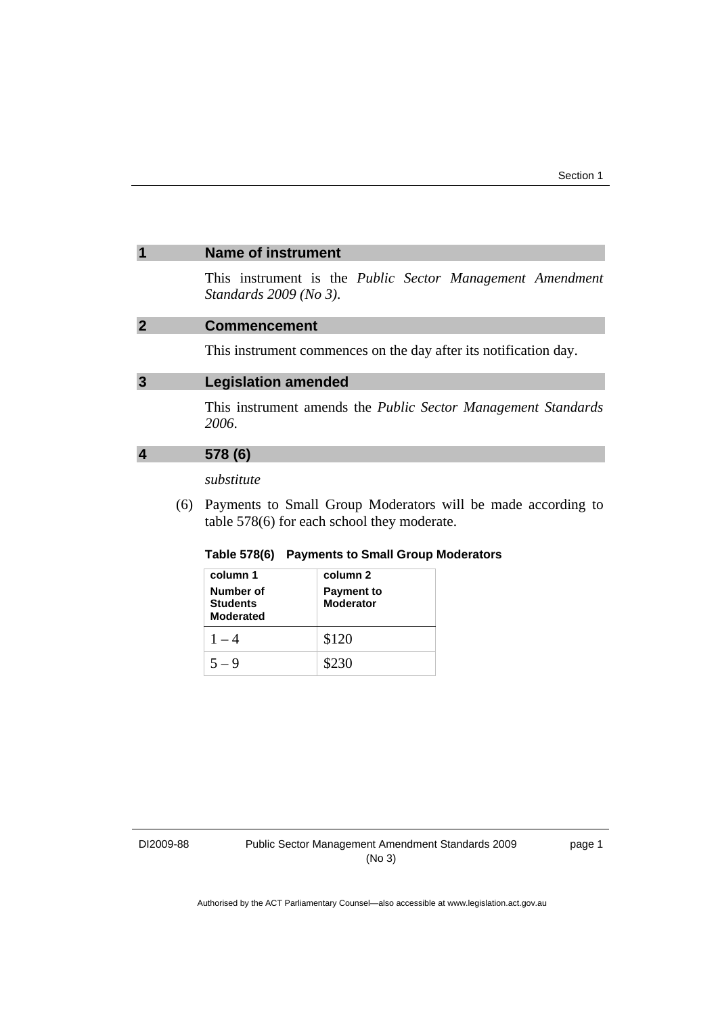#### <span id="page-4-0"></span>**1 Name of instrument**

This instrument is the *Public Sector Management Amendment Standards 2009 (No 3)*.

### **2 Commencement**

This instrument commences on the day after its notification day.

## **3 Legislation amended**

This instrument amends the *Public Sector Management Standards 2006*.

## **4 578 (6)**

### *substitute*

 (6) Payments to Small Group Moderators will be made according to table 578(6) for each school they moderate.

#### **Table 578(6) Payments to Small Group Moderators**

| column 1<br>Number of<br><b>Students</b><br><b>Moderated</b> | column 2<br><b>Payment to</b><br><b>Moderator</b> |
|--------------------------------------------------------------|---------------------------------------------------|
| $1 - 4$                                                      | \$120                                             |
| $5 - 9$                                                      | \$230                                             |

DI2009-88

page 1